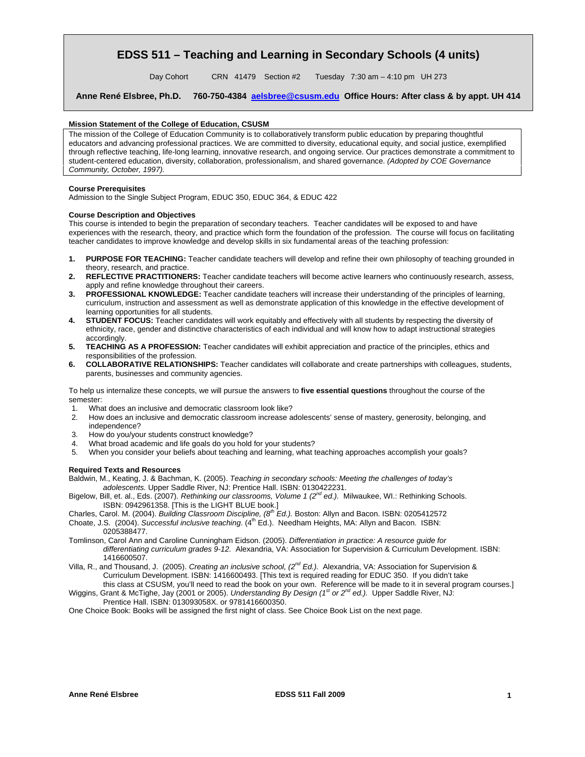## **EDSS 511 – Teaching and Learning in Secondary Schools (4 units)**

Day Cohort CRN 41479 Section #2 Tuesday 7:30 am - 4:10 pm UH 273

**Anne René Elsbree, Ph.D. 760-750-4384 aelsbree@csusm.edu Office Hours: After class & by appt. UH 414** 

#### **Mission Statement of the College of Education, CSUSM**

The mission of the College of Education Community is to collaboratively transform public education by preparing thoughtful educators and advancing professional practices. We are committed to diversity, educational equity, and social justice, exemplified through reflective teaching, life-long learning, innovative research, and ongoing service. Our practices demonstrate a commitment to student-centered education, diversity, collaboration, professionalism, and shared governance. *(Adopted by COE Governance Community, October, 1997).* 

#### **Course Prerequisites**

Admission to the Single Subject Program, EDUC 350, EDUC 364, & EDUC 422

#### **Course Description and Objectives**

This course is intended to begin the preparation of secondary teachers. Teacher candidates will be exposed to and have experiences with the research, theory, and practice which form the foundation of the profession. The course will focus on facilitating teacher candidates to improve knowledge and develop skills in six fundamental areas of the teaching profession:

- **1. PURPOSE FOR TEACHING:** Teacher candidate teachers will develop and refine their own philosophy of teaching grounded in theory, research, and practice.
- **2. REFLECTIVE PRACTITIONERS:** Teacher candidate teachers will become active learners who continuously research, assess, apply and refine knowledge throughout their careers.
- **3. PROFESSIONAL KNOWLEDGE:** Teacher candidate teachers will increase their understanding of the principles of learning, curriculum, instruction and assessment as well as demonstrate application of this knowledge in the effective development of learning opportunities for all students.
- **4. STUDENT FOCUS:** Teacher candidates will work equitably and effectively with all students by respecting the diversity of ethnicity, race, gender and distinctive characteristics of each individual and will know how to adapt instructional strategies accordingly.
- **5. TEACHING AS A PROFESSION:** Teacher candidates will exhibit appreciation and practice of the principles, ethics and responsibilities of the profession.
- **6. COLLABORATIVE RELATIONSHIPS:** Teacher candidates will collaborate and create partnerships with colleagues, students, parents, businesses and community agencies.

To help us internalize these concepts, we will pursue the answers to **five essential questions** throughout the course of the semester:

- 1. What does an inclusive and democratic classroom look like?
- 2. How does an inclusive and democratic classroom increase adolescents' sense of mastery, generosity, belonging, and independence?
- 3. How do you/your students construct knowledge?
- 4. What broad academic and life goals do you hold for your students?
- 5. When you consider your beliefs about teaching and learning, what teaching approaches accomplish your goals?

#### **Required Texts and Resources**

 Baldwin, M., Keating, J. & Bachman, K. (2005). *Teaching in secondary schools: Meeting the challenges of today's adolescents.* Upper Saddle River, NJ: Prentice Hall. ISBN: 0130422231.

 Bigelow, Bill, et. al., Eds. (2007). *Rethinking our classrooms, Volume 1 (2nd ed.).* Milwaukee, WI.: Rethinking Schools. ISBN: 0942961358. [This is the LIGHT BLUE book.]

- Charles, Carol. M. (2004). *Building Classroom Discipline, (8th Ed.).* Boston: Allyn and Bacon. ISBN: 0205412572
- Choate, J.S. (2004). *Successful inclusive teaching.* (4<sup>th</sup> Ed.). Needham Heights, MA: Allyn and Bacon. ISBN: 0205388477.
- Tomlinson, Carol Ann and Caroline Cunningham Eidson. (2005). *Differentiation in practice: A resource guide for differentiating curriculum grades 9-12.* Alexandria, VA: Association for Supervision & Curriculum Development. ISBN: 1416600507.
- Villa, R., and Thousand, J. (2005). *Creating an inclusive school, (2nd Ed.).* Alexandria, VA: Association for Supervision & Curriculum Development. ISBN: 1416600493. [This text is required reading for EDUC 350. If you didn't take this class at CSUSM, you'll need to read the book on your own. Reference will be made to it in several program courses.]
- Wiggins, Grant & McTighe, Jay (2001 or 2005). *Understanding By Design (1st or 2nd ed.).* Upper Saddle River, NJ: Prentice Hall. ISBN: 013093058X. or 9781416600350.

One Choice Book: Books will be assigned the first night of class. See Choice Book List on the next page.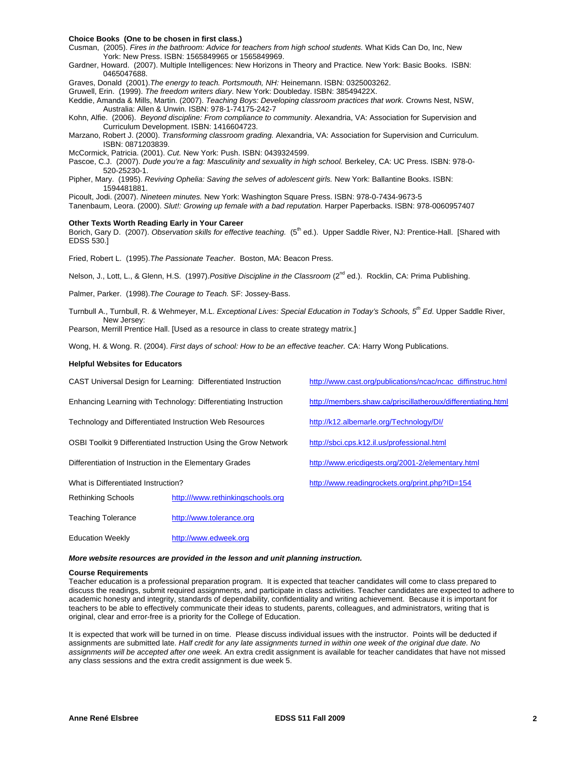#### **Choice Books (One to be chosen in first class.)**

Cusman, (2005). *Fires in the bathroom: Advice for teachers from high school students.* What Kids Can Do, Inc, New York: New Press. ISBN: 1565849965 or 1565849969.

Gardner, Howard. (2007). Multiple Intelligences: New Horizons in Theory and Practice*.* New York: Basic Books. ISBN: 0465047688.

Graves, Donald (2001).*The energy to teach. Portsmouth, NH:* Heinemann. ISBN: 0325003262.

Gruwell, Erin. (1999). *The freedom writers diary*. New York: Doubleday. ISBN: 38549422X.

Keddie, Amanda & Mills, Martin. (2007). *Teaching Boys: Developing classroom practices that work.* Crowns Nest, NSW, Australia: Allen & Unwin. ISBN: 978-1-74175-242-7

Kohn, Alfie. (2006). *Beyond discipline: From compliance to community*. Alexandria, VA: Association for Supervision and Curriculum Development. ISBN: 1416604723.

Marzano, Robert J. (2000). *Transforming classroom grading.* Alexandria, VA: Association for Supervision and Curriculum. ISBN: 0871203839.

McCormick, Patricia. (2001). *Cut.* New York: Push. ISBN: 0439324599.

Pascoe, C.J. (2007). *Dude you're a fag: Masculinity and sexuality in high school.* Berkeley, CA: UC Press. ISBN: 978-0- 520-25230-1.

Pipher, Mary. (1995). *Reviving Ophelia: Saving the selves of adolescent girls.* New York: Ballantine Books. ISBN: 1594481881.

Picoult, Jodi. (2007). *Nineteen minutes.* New York: Washington Square Press. ISBN: 978-0-7434-9673-5

Tanenbaum, Leora. (2000). *Slut!: Growing up female with a bad reputation.* Harper Paperbacks. ISBN: 978-0060957407

#### **Other Texts Worth Reading Early in Your Career**

Borich, Gary D. (2007). *Observation skills for effective teaching.* (5<sup>th</sup> ed.). Upper Saddle River, NJ: Prentice-Hall. [Shared with EDSS 530.]

Fried, Robert L. (1995).*The Passionate Teacher*. Boston, MA: Beacon Press.

Nelson, J., Lott, L., & Glenn, H.S. (1997).*Positive Discipline in the Classroom* (2nd ed.). Rocklin, CA: Prima Publishing.

Palmer, Parker. (1998).*The Courage to Teach.* SF: Jossey-Bass.

Turnbull A., Turnbull, R. & Wehmeyer, M.L. *Exceptional Lives: Special Education in Today's Schools, 5th Ed*. Upper Saddle River, New Jersey:

Pearson, Merrill Prentice Hall. [Used as a resource in class to create strategy matrix.]

Wong, H. & Wong. R. (2004). *First days of school: How to be an effective teacher.* CA: Harry Wong Publications.

#### **Helpful Websites for Educators**

|                                                                  | CAST Universal Design for Learning: Differentiated Instruction | http://www.cast.org/publications/ncac/ncac_diffinstruc.html  |  |  |
|------------------------------------------------------------------|----------------------------------------------------------------|--------------------------------------------------------------|--|--|
| Enhancing Learning with Technology: Differentiating Instruction  |                                                                | http://members.shaw.ca/priscillatheroux/differentiating.html |  |  |
| Technology and Differentiated Instruction Web Resources          |                                                                | http://k12.albemarle.org/Technology/DI/                      |  |  |
| OSBI Toolkit 9 Differentiated Instruction Using the Grow Network |                                                                | http://sbci.cps.k12.il.us/professional.html                  |  |  |
| Differentiation of Instruction in the Elementary Grades          |                                                                | http://www.ericdigests.org/2001-2/elementary.html            |  |  |
| What is Differentiated Instruction?                              |                                                                | http://www.readingrockets.org/print.php?ID=154               |  |  |
| <b>Rethinking Schools</b>                                        | http:///www.rethinkingschools.org                              |                                                              |  |  |
| Teaching Tolerance                                               | http://www.tolerance.org                                       |                                                              |  |  |

#### *More website resources are provided in the lesson and unit planning instruction.*

#### **Course Requirements**

Education Weekly http://www.edweek.org

original, clear and error-free is a priority for the College of Education. Teacher education is a professional preparation program. It is expected that teacher candidates will come to class prepared to discuss the readings, submit required assignments, and participate in class activities. Teacher candidates are expected to adhere to academic honesty and integrity, standards of dependability, confidentiality and writing achievement. Because it is important for teachers to be able to effectively communicate their ideas to students, parents, colleagues, and administrators, writing that is

It is expected that work will be turned in on time. Please discuss individual issues with the instructor. Points will be deducted if assignments are submitted late. *Half credit for any late assignments turned in within one week of the original due date. No assignments will be accepted after one week.* An extra credit assignment is available for teacher candidates that have not missed any class sessions and the extra credit assignment is due week 5.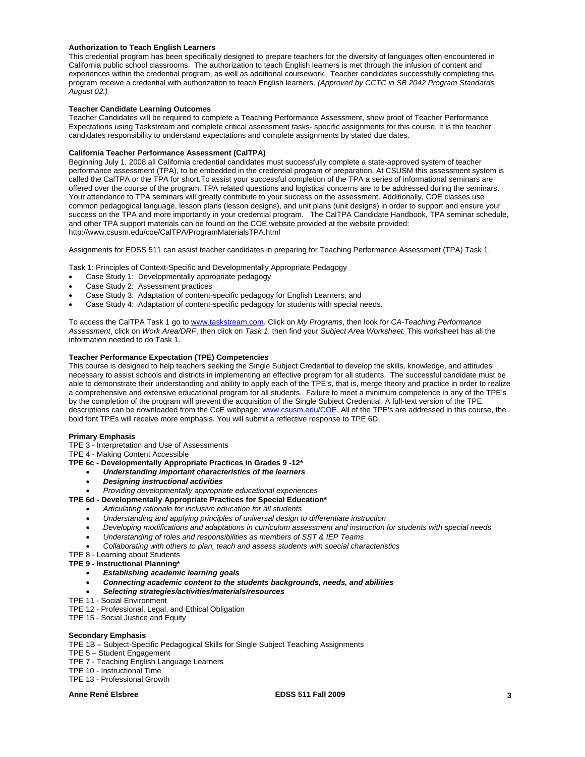#### **Authorization to Teach English Learners**

This credential program has been specifically designed to prepare teachers for the diversity of languages often encountered in California public school classrooms. The authorization to teach English learners is met through the infusion of content and experiences within the credential program, as well as additional coursework. Teacher candidates successfully completing this program receive a credential with authorization to teach English learners. *(Approved by CCTC in SB 2042 Program Standards, August 02.)* 

#### **Teacher Candidate Learning Outcomes**

Teacher Candidates will be required to complete a Teaching Performance Assessment, show proof of Teacher Performance Expectations using Taskstream and complete critical assessment tasks- specific assignments for this course. It is the teacher candidates responsibility to understand expectations and complete assignments by stated due dates.

#### **California Teacher Performance Assessment (CalTPA)**

Beginning July 1, 2008 all California credential candidates must successfully complete a state-approved system of teacher performance assessment (TPA), to be embedded in the credential program of preparation. At CSUSM this assessment system is called the CalTPA or the TPA for short.To assist your successful completion of the TPA a series of informational seminars are offered over the course of the program. TPA related questions and logistical concerns are to be addressed during the seminars. Your attendance to TPA seminars will greatly contribute to your success on the assessment. Additionally, COE classes use common pedagogical language, lesson plans (lesson designs), and unit plans (unit designs) in order to support and ensure your success on the TPA and more importantly in your credential program. The CalTPA Candidate Handbook, TPA seminar schedule, and other TPA support materials can be found on the COE website provided at the website provided: http://www.csusm.edu/coe/CalTPA/ProgramMaterialsTPA.html

Assignments for EDSS 511 can assist teacher candidates in preparing for Teaching Performance Assessment (TPA) Task 1.

Task 1: Principles of Context-Specific and Developmentally Appropriate Pedagogy

- Case Study 1: Developmentally appropriate pedagogy
- Case Study 2: Assessment practices
- Case Study 3: Adaptation of content-specific pedagogy for English Learners, and
- Case Study 4: Adaptation of content-specific pedagogy for students with special needs.

 *Assessment*, click on *Work Area/DRF*, then click on *Task 1*, then find your *Subject Area Worksheet.* This worksheet has all the To access the CalTPA Task 1 go to www.taskstream.com. Click on *My Programs*, then look for *CA-Teaching Performance*  information needed to do Task 1.

#### **Teacher Performance Expectation (TPE) Competencies**

This course is designed to help teachers seeking the Single Subject Credential to develop the skills, knowledge, and attitudes necessary to assist schools and districts in implementing an effective program for all students. The successful candidate must be able to demonstrate their understanding and ability to apply each of the TPE's, that is, merge theory and practice in order to realize a comprehensive and extensive educational program for all students. Failure to meet a minimum competence in any of the TPE's by the completion of the program will prevent the acquisition of the Single Subject Credential. A full-text version of the TPE descriptions can be downloaded from the CoE webpage: www.csusm.edu/COE. All of the TPE's are addressed in this course, the bold font TPEs will receive more emphasis. You will submit a reflective response to TPE 6D.

#### **Primary Emphasis**

TPE 3 - Interpretation and Use of Assessments

TPE 4 - Making Content Accessible

- **TPE 6c Developmentally Appropriate Practices in Grades 9 -12\*** 
	- *Understanding important characteristics of the learners*
	- *Designing instructional activities*
- *Providing developmentally appropriate educational experiences*
- **TPE 6d Developmentally Appropriate Practices for Special Education\*** 
	- *Articulating rationale for inclusive education for all students*
	- *Understanding and applying principles of universal design to differentiate instruction*
	- *Developing modifications and adaptations in curriculum assessment and instruction for students with special needs*
	- *Understanding of roles and responsibilities as members of SST & IEP Teams*
	- *Collaborating with others to plan, teach and assess students with special characteristics*
- TPE 8 Learning about Students
- **TPE 9 Instructional Planning\*** 
	- *Establishing academic learning goals*
	- *Connecting academic content to the students backgrounds, needs, and abilities*
	- *Selecting strategies/activities/materials/resources*
- TPE 11 Social Environment
- TPE 12 Professional, Legal, and Ethical Obligation
- TPE 15 Social Justice and Equity

#### **Secondary Emphasis**

TPE 1B – Subject-Specific Pedagogical Skills for Single Subject Teaching Assignments

- TPE 5 Student Engagement
- TPE 7 Teaching English Language Learners
- TPE 10 Instructional Time

TPE 13 - Professional Growth

## Anne René Elsbree **Anne René Elsbree Business EDSS 511 Fall 2009** 3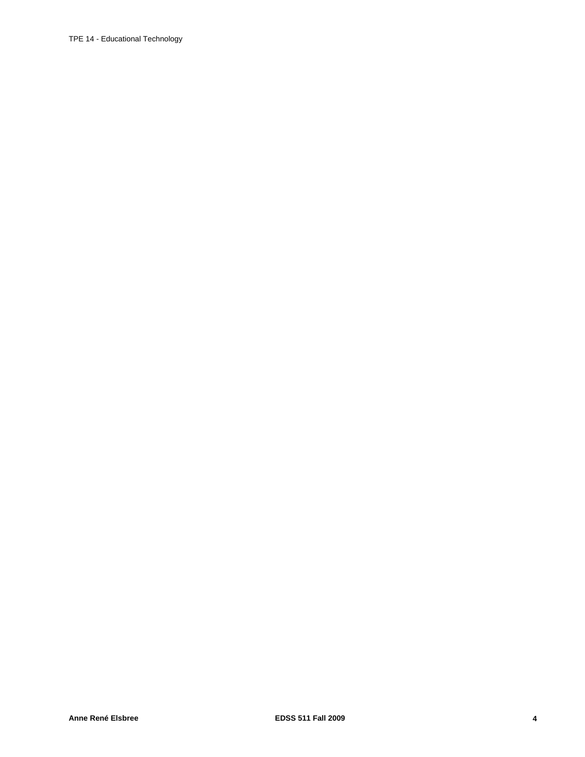## TPE 14 - Educational Technology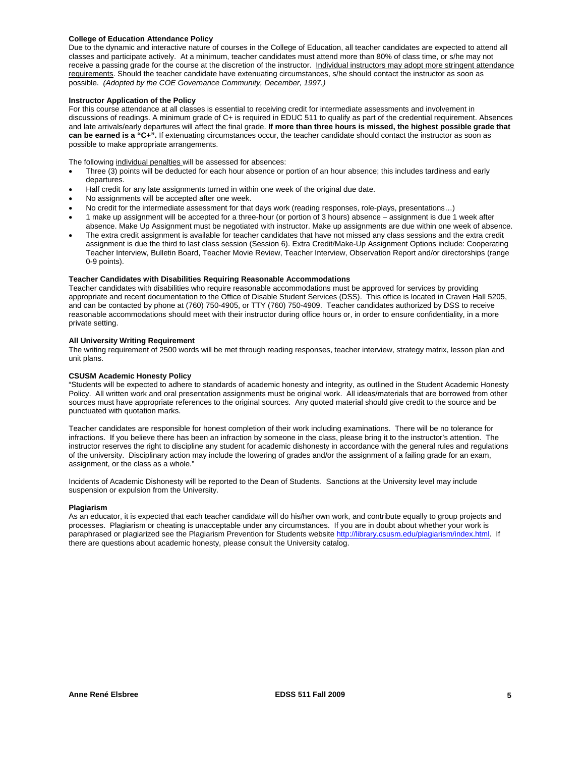#### **College of Education Attendance Policy**

 possible. *(Adopted by the COE Governance Community, December, 1997.)* Due to the dynamic and interactive nature of courses in the College of Education, all teacher candidates are expected to attend all classes and participate actively. At a minimum, teacher candidates must attend more than 80% of class time, or s/he may not receive a passing grade for the course at the discretion of the instructor. Individual instructors may adopt more stringent attendance requirements. Should the teacher candidate have extenuating circumstances, s/he should contact the instructor as soon as

#### **Instructor Application of the Policy**

For this course attendance at all classes is essential to receiving credit for intermediate assessments and involvement in discussions of readings. A minimum grade of C+ is required in EDUC 511 to qualify as part of the credential requirement. Absences and late arrivals/early departures will affect the final grade. **If more than three hours is missed, the highest possible grade that can be earned is a "C+".** If extenuating circumstances occur, the teacher candidate should contact the instructor as soon as possible to make appropriate arrangements.

The following individual penalties will be assessed for absences:

- Three (3) points will be deducted for each hour absence or portion of an hour absence; this includes tardiness and early departures.
- Half credit for any late assignments turned in within one week of the original due date.
- No assignments will be accepted after one week.
- No credit for the intermediate assessment for that days work (reading responses, role-plays, presentations…)
- 1 make up assignment will be accepted for a three-hour (or portion of 3 hours) absence assignment is due 1 week after absence. Make Up Assignment must be negotiated with instructor. Make up assignments are due within one week of absence.
- The extra credit assignment is available for teacher candidates that have not missed any class sessions and the extra credit assignment is due the third to last class session (Session 6). Extra Credit/Make-Up Assignment Options include: Cooperating Teacher Interview, Bulletin Board, Teacher Movie Review, Teacher Interview, Observation Report and/or directorships (range 0-9 points).

#### **Teacher Candidates with Disabilities Requiring Reasonable Accommodations**

Teacher candidates with disabilities who require reasonable accommodations must be approved for services by providing appropriate and recent documentation to the Office of Disable Student Services (DSS). This office is located in Craven Hall 5205, and can be contacted by phone at (760) 750-4905, or TTY (760) 750-4909. Teacher candidates authorized by DSS to receive reasonable accommodations should meet with their instructor during office hours or, in order to ensure confidentiality, in a more private setting.

#### **All University Writing Requirement**

The writing requirement of 2500 words will be met through reading responses, teacher interview, strategy matrix, lesson plan and unit plans.

#### **CSUSM Academic Honesty Policy**

"Students will be expected to adhere to standards of academic honesty and integrity, as outlined in the Student Academic Honesty Policy. All written work and oral presentation assignments must be original work. All ideas/materials that are borrowed from other sources must have appropriate references to the original sources. Any quoted material should give credit to the source and be punctuated with quotation marks.

Teacher candidates are responsible for honest completion of their work including examinations. There will be no tolerance for infractions. If you believe there has been an infraction by someone in the class, please bring it to the instructor's attention. The instructor reserves the right to discipline any student for academic dishonesty in accordance with the general rules and regulations of the university. Disciplinary action may include the lowering of grades and/or the assignment of a failing grade for an exam, assignment, or the class as a whole."

Incidents of Academic Dishonesty will be reported to the Dean of Students. Sanctions at the University level may include suspension or expulsion from the University.

#### **Plagiarism**

As an educator, it is expected that each teacher candidate will do his/her own work, and contribute equally to group projects and processes. Plagiarism or cheating is unacceptable under any circumstances. If you are in doubt about whether your work is paraphrased or plagiarized see the Plagiarism Prevention for Students website http://library.csusm.edu/plagiarism/index.html. If there are questions about academic honesty, please consult the University catalog.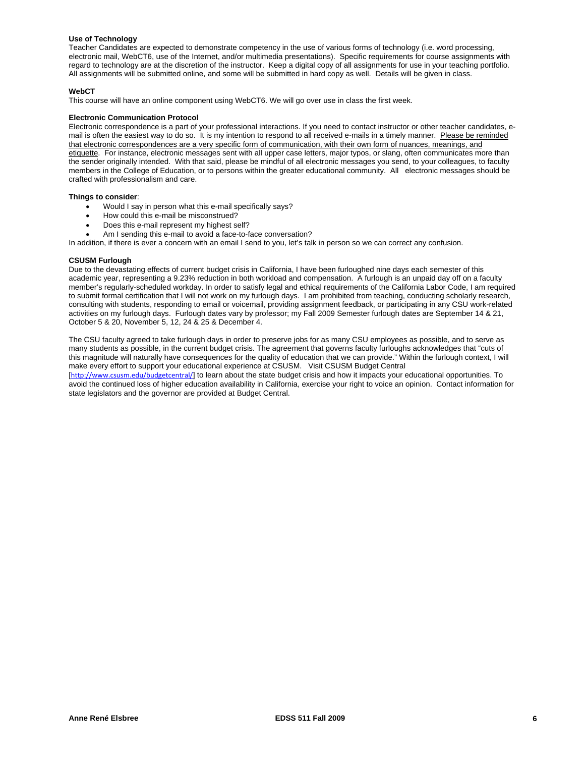#### **Use of Technology**

Teacher Candidates are expected to demonstrate competency in the use of various forms of technology (i.e. word processing, electronic mail, WebCT6, use of the Internet, and/or multimedia presentations). Specific requirements for course assignments with regard to technology are at the discretion of the instructor. Keep a digital copy of all assignments for use in your teaching portfolio. All assignments will be submitted online, and some will be submitted in hard copy as well. Details will be given in class.

#### **WebCT**

This course will have an online component using WebCT6. We will go over use in class the first week.

#### **Electronic Communication Protocol**

Electronic correspondence is a part of your professional interactions. If you need to contact instructor or other teacher candidates, email is often the easiest way to do so. It is my intention to respond to all received e-mails in a timely manner. Please be reminded that electronic correspondences are a very specific form of communication, with their own form of nuances, meanings, and etiquette. For instance, electronic messages sent with all upper case letters, major typos, or slang, often communicates more than the sender originally intended. With that said, please be mindful of all electronic messages you send, to your colleagues, to faculty members in the College of Education, or to persons within the greater educational community. All electronic messages should be crafted with professionalism and care.

#### **Things to consider**:

- Would I say in person what this e-mail specifically says?
- How could this e-mail be misconstrued?
- Does this e-mail represent my highest self?
- Am I sending this e-mail to avoid a face-to-face conversation?

In addition, if there is ever a concern with an email I send to you, let's talk in person so we can correct any confusion.

#### **CSUSM Furlough**

Due to the devastating effects of current budget crisis in California, I have been furloughed nine days each semester of this academic year, representing a 9.23% reduction in both workload and compensation. A furlough is an unpaid day off on a faculty member's regularly-scheduled workday. In order to satisfy legal and ethical requirements of the California Labor Code, I am required to submit formal certification that I will not work on my furlough days. I am prohibited from teaching, conducting scholarly research, consulting with students, responding to email or voicemail, providing assignment feedback, or participating in any CSU work-related activities on my furlough days. Furlough dates vary by professor; my Fall 2009 Semester furlough dates are September 14 & 21, October 5 & 20, November 5, 12, 24 & 25 & December 4.

The CSU faculty agreed to take furlough days in order to preserve jobs for as many CSU employees as possible, and to serve as many students as possible, in the current budget crisis. The agreement that governs faculty furloughs acknowledges that "cuts of this magnitude will naturally have consequences for the quality of education that we can provide." Within the furlough context, I will make every effort to support your educational experience at CSUSM. Visit CSUSM Budget Central

[http://www.csusm.edu/budgetcentral/] to learn about the state budget crisis and how it impacts your educational opportunities. To avoid the continued loss of higher education availability in California, exercise your right to voice an opinion. Contact information for state legislators and the governor are provided at Budget Central.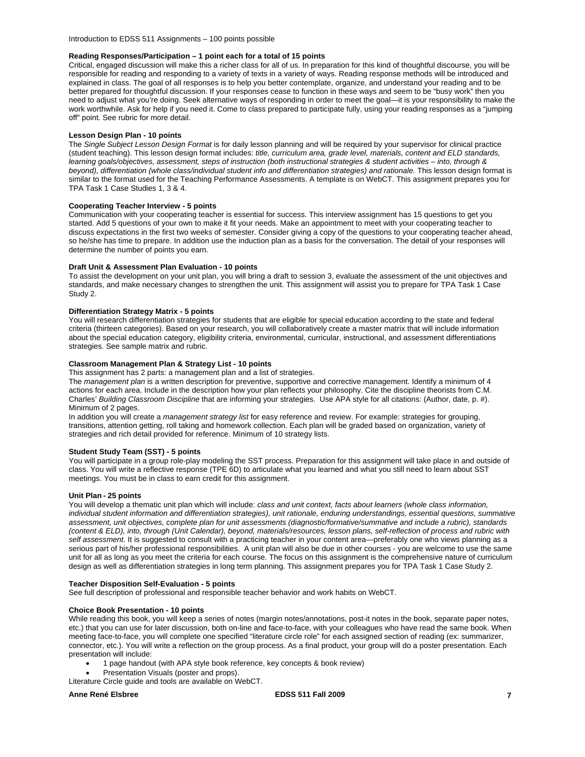Introduction to EDSS 511 Assignments – 100 points possible

#### **Reading Responses/Participation – 1 point each for a total of 15 points**

Critical, engaged discussion will make this a richer class for all of us. In preparation for this kind of thoughtful discourse, you will be responsible for reading and responding to a variety of texts in a variety of ways. Reading response methods will be introduced and explained in class. The goal of all responses is to help you better contemplate, organize, and understand your reading and to be better prepared for thoughtful discussion. If your responses cease to function in these ways and seem to be "busy work" then you need to adjust what you're doing. Seek alternative ways of responding in order to meet the goal—it is your responsibility to make the work worthwhile. Ask for help if you need it. Come to class prepared to participate fully, using your reading responses as a "jumping off" point. See rubric for more detail.

#### **Lesson Design Plan - 10 points**

The *Single Subject Lesson Design Format* is for daily lesson planning and will be required by your supervisor for clinical practice (student teaching). This lesson design format includes: *title, curriculum area, grade level, materials, content and ELD standards, learning goals/objectives, assessment, steps of instruction (both instructional strategies & student activities – into, through & beyond), differentiation (whole class/individual student info and differentiation strategies) and rationale.* This lesson design format is similar to the format used for the Teaching Performance Assessments. A template is on WebCT. This assignment prepares you for TPA Task 1 Case Studies 1, 3 & 4.

#### **Cooperating Teacher Interview - 5 points**

Communication with your cooperating teacher is essential for success. This interview assignment has 15 questions to get you started. Add 5 questions of your own to make it fit your needs. Make an appointment to meet with your cooperating teacher to discuss expectations in the first two weeks of semester. Consider giving a copy of the questions to your cooperating teacher ahead, so he/she has time to prepare. In addition use the induction plan as a basis for the conversation. The detail of your responses will determine the number of points you earn.

#### **Draft Unit & Assessment Plan Evaluation - 10 points**

To assist the development on your unit plan, you will bring a draft to session 3, evaluate the assessment of the unit objectives and standards, and make necessary changes to strengthen the unit. This assignment will assist you to prepare for TPA Task 1 Case Study 2.

### **Differentiation Strategy Matrix - 5 points**

You will research differentiation strategies for students that are eligible for special education according to the state and federal criteria (thirteen categories). Based on your research, you will collaboratively create a master matrix that will include information about the special education category, eligibility criteria, environmental, curricular, instructional, and assessment differentiations strategies. See sample matrix and rubric.

#### **Classroom Management Plan & Strategy List - 10 points**

This assignment has 2 parts: a management plan and a list of strategies.

The *management plan* is a written description for preventive, supportive and corrective management. Identify a minimum of 4 actions for each area. Include in the description how your plan reflects your philosophy. Cite the discipline theorists from C.M. Charles' *Building Classroom Discipline* that are informing your strategies. Use APA style for all citations: (Author, date, p. #). Minimum of 2 pages.

In addition you will create a *management strategy list* for easy reference and review. For example: strategies for grouping, transitions, attention getting, roll taking and homework collection. Each plan will be graded based on organization, variety of strategies and rich detail provided for reference. Minimum of 10 strategy lists.

#### **Student Study Team (SST) - 5 points**

You will participate in a group role-play modeling the SST process. Preparation for this assignment will take place in and outside of class. You will write a reflective response (TPE 6D) to articulate what you learned and what you still need to learn about SST meetings. You must be in class to earn credit for this assignment.

#### **Unit Plan - 25 points**

You will develop a thematic unit plan which will include: *class and unit context, facts about learners (whole class information, individual student information and differentiation strategies), unit rationale, enduring understandings, essential questions, summative assessment, unit objectives, complete plan for unit assessments (diagnostic/formative/summative and include a rubric), standards (content & ELD), into, through (Unit Calendar), beyond, materials/resources, lesson plans, self-reflection of process and rubric with self assessment.* It is suggested to consult with a practicing teacher in your content area—preferably one who views planning as a serious part of his/her professional responsibilities. A unit plan will also be due in other courses - you are welcome to use the same unit for all as long as you meet the criteria for each course. The focus on this assignment is the comprehensive nature of curriculum design as well as differentiation strategies in long term planning. This assignment prepares you for TPA Task 1 Case Study 2.

#### **Teacher Disposition Self-Evaluation - 5 points**

See full description of professional and responsible teacher behavior and work habits on WebCT.

#### **Choice Book Presentation - 10 points**

While reading this book, you will keep a series of notes (margin notes/annotations, post-it notes in the book, separate paper notes, etc.) that you can use for later discussion, both on-line and face-to-face, with your colleagues who have read the same book. When meeting face-to-face, you will complete one specified "literature circle role" for each assigned section of reading (ex: summarizer, connector, etc.). You will write a reflection on the group process. As a final product, your group will do a poster presentation. Each presentation will include:

- 1 page handout (with APA style book reference, key concepts & book review)
- Presentation Visuals (poster and props).

Literature Circle guide and tools are available on WebCT.

### **Anne René Elsbree EDSS 511 Fall 2009 7**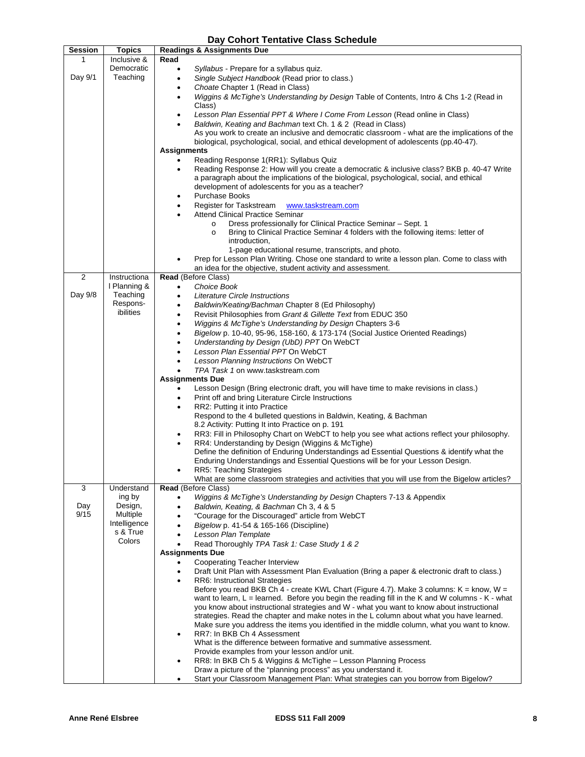## **Day Cohort Tentative Class Schedule**

| Session        | <b>Topics</b>            | <b>Readings &amp; Assignments Due</b>                                                                                                        |
|----------------|--------------------------|----------------------------------------------------------------------------------------------------------------------------------------------|
| 1              | Inclusive &              | Read                                                                                                                                         |
|                | Democratic               | Syllabus - Prepare for a syllabus quiz.<br>$\bullet$                                                                                         |
| Day 9/1        | Teaching                 | Single Subject Handbook (Read prior to class.)<br>$\bullet$                                                                                  |
|                |                          | Choate Chapter 1 (Read in Class)<br>$\bullet$                                                                                                |
|                |                          | Wiggins & McTighe's Understanding by Design Table of Contents, Intro & Chs 1-2 (Read in<br>$\bullet$                                         |
|                |                          | Class)                                                                                                                                       |
|                |                          | Lesson Plan Essential PPT & Where I Come From Lesson (Read online in Class)<br>$\bullet$                                                     |
|                |                          | Baldwin, Keating and Bachman text Ch. 1 & 2 (Read in Class)<br>$\bullet$                                                                     |
|                |                          | As you work to create an inclusive and democratic classroom - what are the implications of the                                               |
|                |                          | biological, psychological, social, and ethical development of adolescents (pp.40-47).                                                        |
|                |                          | <b>Assignments</b>                                                                                                                           |
|                |                          | Reading Response 1(RR1): Syllabus Quiz                                                                                                       |
|                |                          | Reading Response 2: How will you create a democratic & inclusive class? BKB p. 40-47 Write<br>$\bullet$                                      |
|                |                          | a paragraph about the implications of the biological, psychological, social, and ethical<br>development of adolescents for you as a teacher? |
|                |                          | <b>Purchase Books</b><br>$\bullet$                                                                                                           |
|                |                          | Register for Taskstream<br>www.taskstream.com<br>$\bullet$                                                                                   |
|                |                          | <b>Attend Clinical Practice Seminar</b>                                                                                                      |
|                |                          | Dress professionally for Clinical Practice Seminar – Sept. 1<br>$\circ$                                                                      |
|                |                          | Bring to Clinical Practice Seminar 4 folders with the following items: letter of<br>$\circ$                                                  |
|                |                          | introduction,                                                                                                                                |
|                |                          | 1-page educational resume, transcripts, and photo.                                                                                           |
|                |                          | Prep for Lesson Plan Writing. Chose one standard to write a lesson plan. Come to class with                                                  |
|                |                          | an idea for the objective, student activity and assessment.                                                                                  |
| $\overline{2}$ | Instructiona             | Read (Before Class)                                                                                                                          |
|                | I Planning &             | Choice Book<br>$\bullet$                                                                                                                     |
| Day 9/8        | Teaching                 | Literature Circle Instructions<br>$\bullet$                                                                                                  |
|                | Respons-                 | Baldwin/Keating/Bachman Chapter 8 (Ed Philosophy)<br>$\bullet$                                                                               |
|                | ibilities                | Revisit Philosophies from Grant & Gillette Text from EDUC 350<br>$\bullet$                                                                   |
|                |                          | Wiggins & McTighe's Understanding by Design Chapters 3-6<br>$\bullet$                                                                        |
|                |                          | Bigelow p. 10-40, 95-96, 158-160, & 173-174 (Social Justice Oriented Readings)<br>$\bullet$                                                  |
|                |                          | Understanding by Design (UbD) PPT On WebCT<br>$\bullet$                                                                                      |
|                |                          | Lesson Plan Essential PPT On WebCT<br>$\bullet$                                                                                              |
|                |                          | Lesson Planning Instructions On WebCT<br>$\bullet$                                                                                           |
|                |                          | TPA Task 1 on www.taskstream.com                                                                                                             |
|                |                          | <b>Assignments Due</b>                                                                                                                       |
|                |                          | Lesson Design (Bring electronic draft, you will have time to make revisions in class.)<br>٠                                                  |
|                |                          | Print off and bring Literature Circle Instructions<br>$\bullet$                                                                              |
|                |                          | RR2: Putting it into Practice<br>٠<br>Respond to the 4 bulleted questions in Baldwin, Keating, & Bachman                                     |
|                |                          | 8.2 Activity: Putting It into Practice on p. 191                                                                                             |
|                |                          | RR3: Fill in Philosophy Chart on WebCT to help you see what actions reflect your philosophy.<br>٠                                            |
|                |                          | RR4: Understanding by Design (Wiggins & McTighe)                                                                                             |
|                |                          | Define the definition of Enduring Understandings ad Essential Questions & identify what the                                                  |
|                |                          | Enduring Understandings and Essential Questions will be for your Lesson Design.                                                              |
|                |                          | <b>RR5: Teaching Strategies</b>                                                                                                              |
|                |                          | What are some classroom strategies and activities that you will use from the Bigelow articles?                                               |
| 3              | Understand               | Read (Before Class)                                                                                                                          |
|                | ing by                   | Wiggins & McTighe's Understanding by Design Chapters 7-13 & Appendix                                                                         |
| Day            | Design,                  | Baldwin, Keating, & Bachman Ch 3, 4 & 5<br>$\bullet$                                                                                         |
| 9/15           | Multiple                 | "Courage for the Discouraged" article from WebCT                                                                                             |
|                | Intelligence<br>s & True | Bigelow p. 41-54 & 165-166 (Discipline)<br>$\bullet$                                                                                         |
|                | Colors                   | Lesson Plan Template<br>٠                                                                                                                    |
|                |                          | Read Thoroughly TPA Task 1: Case Study 1 & 2                                                                                                 |
|                |                          | <b>Assignments Due</b><br>Cooperating Teacher Interview                                                                                      |
|                |                          | Draft Unit Plan with Assessment Plan Evaluation (Bring a paper & electronic draft to class.)<br>$\bullet$                                    |
|                |                          | <b>RR6: Instructional Strategies</b>                                                                                                         |
|                |                          | Before you read BKB Ch 4 - create KWL Chart (Figure 4.7). Make 3 columns: $K =$ know, $W =$                                                  |
|                |                          | want to learn, $L =$ learned. Before you begin the reading fill in the K and W columns - K - what                                            |
|                |                          | you know about instructional strategies and W - what you want to know about instructional                                                    |
|                |                          | strategies. Read the chapter and make notes in the L column about what you have learned.                                                     |
|                |                          | Make sure you address the items you identified in the middle column, what you want to know.                                                  |
|                |                          | RR7: In BKB Ch 4 Assessment<br>$\bullet$                                                                                                     |
|                |                          | What is the difference between formative and summative assessment.                                                                           |
|                |                          | Provide examples from your lesson and/or unit.                                                                                               |
|                |                          | RR8: In BKB Ch 5 & Wiggins & McTighe - Lesson Planning Process<br>$\bullet$                                                                  |
|                |                          | Draw a picture of the "planning process" as you understand it.                                                                               |
|                |                          | Start your Classroom Management Plan: What strategies can you borrow from Bigelow?<br>$\bullet$                                              |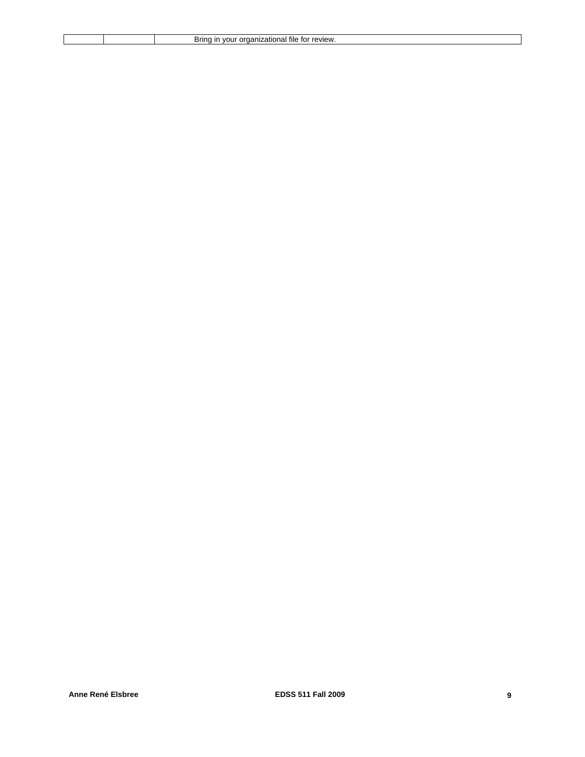|  | .<br><b>COVIDY</b><br>11 I G<br>$\ddot{\phantom{1}}$<br>sring<br>7.OF<br>- 162<br>--- |
|--|---------------------------------------------------------------------------------------|
|  |                                                                                       |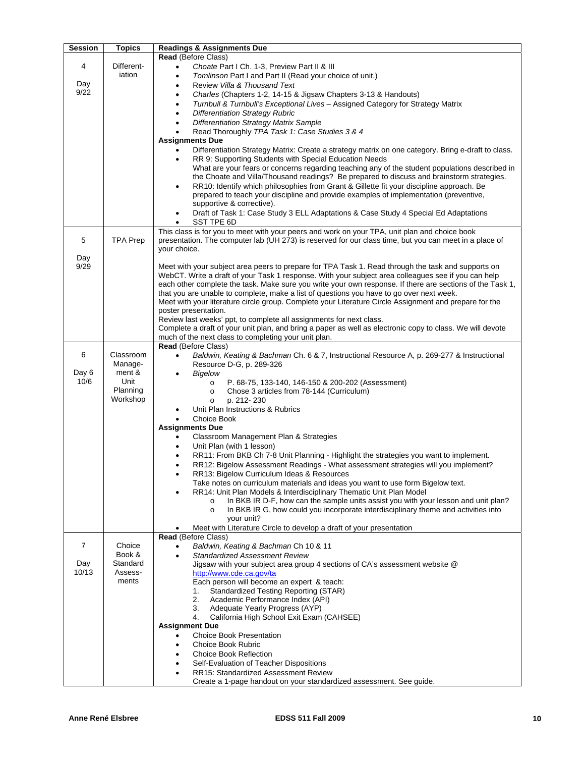| <b>Session</b> | <b>Topics</b>   | <b>Readings &amp; Assignments Due</b>                                                                                                                                            |
|----------------|-----------------|----------------------------------------------------------------------------------------------------------------------------------------------------------------------------------|
|                |                 | Read (Before Class)                                                                                                                                                              |
| 4              | Different-      | Choate Part I Ch. 1-3, Preview Part II & III<br>$\bullet$                                                                                                                        |
|                | iation          | Tomlinson Part I and Part II (Read your choice of unit.)<br>٠                                                                                                                    |
| Day            |                 | Review Villa & Thousand Text<br>٠                                                                                                                                                |
| 9/22           |                 | Charles (Chapters 1-2, 14-15 & Jigsaw Chapters 3-13 & Handouts)<br>$\bullet$                                                                                                     |
|                |                 | Turnbull & Turnbull's Exceptional Lives - Assigned Category for Strategy Matrix<br>٠                                                                                             |
|                |                 | <b>Differentiation Strategy Rubric</b><br>$\bullet$                                                                                                                              |
|                |                 | <b>Differentiation Strategy Matrix Sample</b>                                                                                                                                    |
|                |                 | Read Thoroughly TPA Task 1: Case Studies 3 & 4                                                                                                                                   |
|                |                 | <b>Assignments Due</b><br>Differentiation Strategy Matrix: Create a strategy matrix on one category. Bring e-draft to class.                                                     |
|                |                 | RR 9: Supporting Students with Special Education Needs<br>$\bullet$                                                                                                              |
|                |                 | What are your fears or concerns regarding teaching any of the student populations described in                                                                                   |
|                |                 | the Choate and Villa/Thousand readings? Be prepared to discuss and brainstorm strategies.                                                                                        |
|                |                 | RR10: Identify which philosophies from Grant & Gillette fit your discipline approach. Be<br>$\bullet$                                                                            |
|                |                 | prepared to teach your discipline and provide examples of implementation (preventive,                                                                                            |
|                |                 | supportive & corrective).                                                                                                                                                        |
|                |                 | Draft of Task 1: Case Study 3 ELL Adaptations & Case Study 4 Special Ed Adaptations                                                                                              |
|                |                 | SST TPE 6D<br>$\bullet$                                                                                                                                                          |
|                |                 | This class is for you to meet with your peers and work on your TPA, unit plan and choice book                                                                                    |
| 5              | <b>TPA Prep</b> | presentation. The computer lab (UH 273) is reserved for our class time, but you can meet in a place of                                                                           |
| Day            |                 | your choice.                                                                                                                                                                     |
| 9/29           |                 | Meet with your subject area peers to prepare for TPA Task 1. Read through the task and supports on                                                                               |
|                |                 | WebCT. Write a draft of your Task 1 response. With your subject area colleagues see if you can help                                                                              |
|                |                 | each other complete the task. Make sure you write your own response. If there are sections of the Task 1,                                                                        |
|                |                 | that you are unable to complete, make a list of questions you have to go over next week.                                                                                         |
|                |                 | Meet with your literature circle group. Complete your Literature Circle Assignment and prepare for the                                                                           |
|                |                 | poster presentation.                                                                                                                                                             |
|                |                 | Review last weeks' ppt, to complete all assignments for next class.<br>Complete a draft of your unit plan, and bring a paper as well as electronic copy to class. We will devote |
|                |                 | much of the next class to completing your unit plan.                                                                                                                             |
|                |                 | Read (Before Class)                                                                                                                                                              |
| 6              | Classroom       | Baldwin, Keating & Bachman Ch. 6 & 7, Instructional Resource A, p. 269-277 & Instructional<br>$\bullet$                                                                          |
|                | Manage-         | Resource D-G, p. 289-326                                                                                                                                                         |
| Day 6          | ment &          | Bigelow<br>$\bullet$                                                                                                                                                             |
| 10/6           | Unit            | P. 68-75, 133-140, 146-150 & 200-202 (Assessment)<br>$\circ$                                                                                                                     |
|                | Planning        | Chose 3 articles from 78-144 (Curriculum)<br>$\circ$                                                                                                                             |
|                | Workshop        | p. 212-230<br>$\circ$                                                                                                                                                            |
|                |                 | Unit Plan Instructions & Rubrics<br>Choice Book<br>$\bullet$                                                                                                                     |
|                |                 | <b>Assignments Due</b>                                                                                                                                                           |
|                |                 | Classroom Management Plan & Strategies                                                                                                                                           |
|                |                 | Unit Plan (with 1 lesson)<br>$\bullet$                                                                                                                                           |
|                |                 | RR11: From BKB Ch 7-8 Unit Planning - Highlight the strategies you want to implement.                                                                                            |
|                |                 | RR12: Bigelow Assessment Readings - What assessment strategies will you implement?<br>$\bullet$                                                                                  |
|                |                 | RR13: Bigelow Curriculum Ideas & Resources<br>$\bullet$                                                                                                                          |
|                |                 | Take notes on curriculum materials and ideas you want to use form Bigelow text.                                                                                                  |
|                |                 | RR14: Unit Plan Models & Interdisciplinary Thematic Unit Plan Model                                                                                                              |
|                |                 | In BKB IR D-F, how can the sample units assist you with your lesson and unit plan?<br>$\circ$                                                                                    |
|                |                 | In BKB IR G, how could you incorporate interdisciplinary theme and activities into<br>$\circ$<br>your unit?                                                                      |
|                |                 | Meet with Literature Circle to develop a draft of your presentation                                                                                                              |
|                |                 | Read (Before Class)                                                                                                                                                              |
| $\overline{7}$ | Choice          | Baldwin, Keating & Bachman Ch 10 & 11                                                                                                                                            |
|                | Book &          | <b>Standardized Assessment Review</b>                                                                                                                                            |
| Day            | Standard        | Jigsaw with your subject area group 4 sections of CA's assessment website @                                                                                                      |
| 10/13          | Assess-         | http://www.cde.ca.gov/ta                                                                                                                                                         |
|                | ments           | Each person will become an expert & teach:                                                                                                                                       |
|                |                 | <b>Standardized Testing Reporting (STAR)</b><br>1.<br>2.<br>Academic Performance Index (API)                                                                                     |
|                |                 | 3.<br>Adequate Yearly Progress (AYP)                                                                                                                                             |
|                |                 | 4.<br>California High School Exit Exam (CAHSEE)                                                                                                                                  |
|                |                 | <b>Assignment Due</b>                                                                                                                                                            |
|                |                 | <b>Choice Book Presentation</b>                                                                                                                                                  |
|                |                 | Choice Book Rubric                                                                                                                                                               |
|                |                 | <b>Choice Book Reflection</b>                                                                                                                                                    |
|                |                 | Self-Evaluation of Teacher Dispositions                                                                                                                                          |
|                |                 | <b>RR15: Standardized Assessment Review</b>                                                                                                                                      |
|                |                 | Create a 1-page handout on your standardized assessment. See guide.                                                                                                              |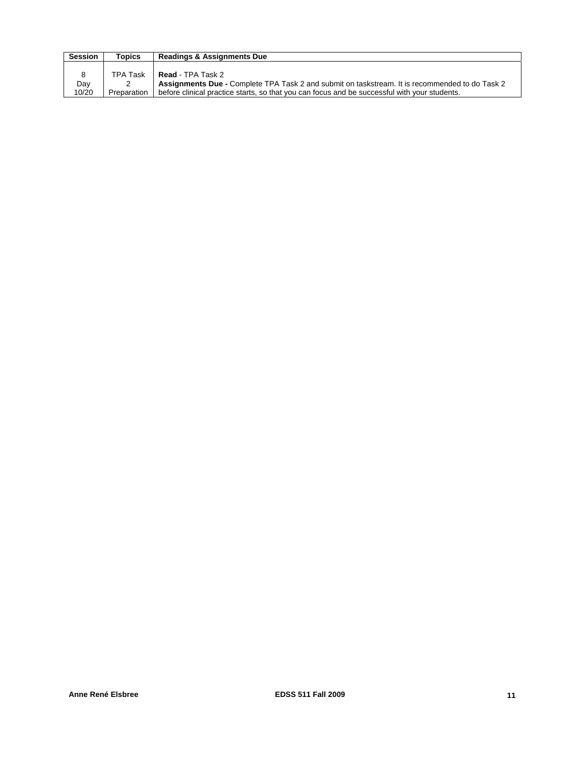| <b>Session</b> | Topics      | <b>Readings &amp; Assignments Due</b>                                                          |
|----------------|-------------|------------------------------------------------------------------------------------------------|
|                |             |                                                                                                |
| 8              | TPA Task    | Read - TPA Task 2                                                                              |
| Day            |             | Assignments Due - Complete TPA Task 2 and submit on taskstream. It is recommended to do Task 2 |
| 10/20          | Preparation | before clinical practice starts, so that you can focus and be successful with your students.   |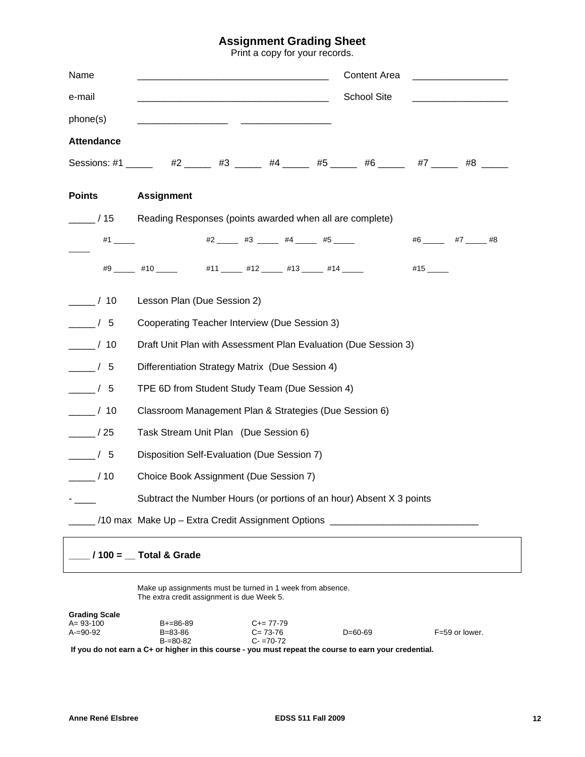## **Assignment Grading Sheet**

Print a copy for your records.

| Name                 | Content Area<br><u> 1980 - Jan Samuel Barbara, menyebara</u>                                |  |  |  |  |
|----------------------|---------------------------------------------------------------------------------------------|--|--|--|--|
| e-mail               | School Site                                                                                 |  |  |  |  |
| phone(s)             |                                                                                             |  |  |  |  |
| <b>Attendance</b>    |                                                                                             |  |  |  |  |
|                      | Sessions: #1 _____  #2 ______ #3 ______ #4 _____ #5 ______ #6 ______ #7 ______ #8 _____     |  |  |  |  |
| <b>Points</b>        | <b>Assignment</b>                                                                           |  |  |  |  |
| /15                  | Reading Responses (points awarded when all are complete)                                    |  |  |  |  |
| #1 _________         | $#2$ $#3$ $#3$ $#4$ $#5$<br>$#6$ $#7$ $#8$                                                  |  |  |  |  |
|                      | #9 _____ #10 _____      #11 _____ #12 _____ #13 _____ #14 _____<br>$#15$ <sub>_______</sub> |  |  |  |  |
| $\frac{1}{2}$ / 10   | Lesson Plan (Due Session 2)                                                                 |  |  |  |  |
| $\frac{\ }{\ }$ / 5  | Cooperating Teacher Interview (Due Session 3)                                               |  |  |  |  |
| $\frac{1}{2}$ / 10   | Draft Unit Plan with Assessment Plan Evaluation (Due Session 3)                             |  |  |  |  |
| $\frac{1}{\sqrt{5}}$ | Differentiation Strategy Matrix (Due Session 4)                                             |  |  |  |  |
| $\frac{1}{2}$ / 5    | TPE 6D from Student Study Team (Due Session 4)                                              |  |  |  |  |
| $\frac{\ }{\ }$ / 10 | Classroom Management Plan & Strategies (Due Session 6)                                      |  |  |  |  |
| $\frac{1}{25}$       | Task Stream Unit Plan (Due Session 6)                                                       |  |  |  |  |
| $\frac{1}{\sqrt{5}}$ | Disposition Self-Evaluation (Due Session 7)                                                 |  |  |  |  |
| $\frac{\ }{\ }$ / 10 | Choice Book Assignment (Due Session 7)                                                      |  |  |  |  |
|                      | Subtract the Number Hours (or portions of an hour) Absent X 3 points                        |  |  |  |  |
|                      | 10 max Make Up - Extra Credit Assignment Options _______________________________            |  |  |  |  |
|                      | $100 =$ Total & Grade                                                                       |  |  |  |  |

Make up assignments must be turned in 1 week from absence. The extra credit assignment is due Week 5.

| <b>Grading Scale</b> |                 |                     |         |                |
|----------------------|-----------------|---------------------|---------|----------------|
| $A = 93 - 100$       | $B + = 86 - 89$ | $C_{\pm} = 77 - 79$ |         |                |
| $A=90-92$            | $B = 83 - 86$   | $C = 73-76$         | D=60-69 | F=59 or lower. |
|                      | $B=80-82$       | $C - 70 - 72$       |         |                |
| __                   |                 |                     |         |                |

**If you do not earn a C+ or higher in this course - you must repeat the course to earn your credential.**